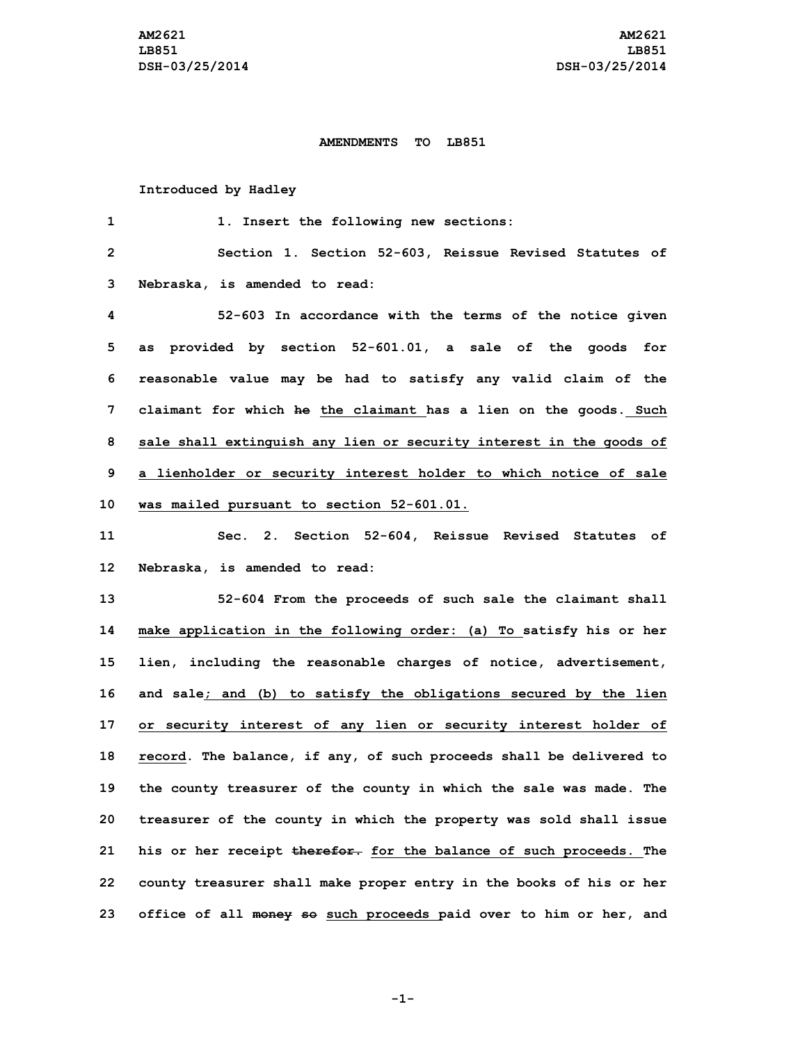## **AMENDMENTS TO LB851**

## **Introduced by Hadley**

| 1              | 1. Insert the following new sections:                               |
|----------------|---------------------------------------------------------------------|
| $\overline{2}$ | Section 1. Section 52-603, Reissue Revised Statutes of              |
| 3              | Nebraska, is amended to read:                                       |
| 4              | 52-603 In accordance with the terms of the notice given             |
| 5              | as provided by section 52-601.01, a sale of the goods for           |
| 6              | reasonable value may be had to satisfy any valid claim of the       |
| 7              | claimant for which he the claimant has a lien on the goods. Such    |
| 8              | sale shall extinguish any lien or security interest in the goods of |
| 9              | a lienholder or security interest holder to which notice of sale    |
| 10             | was mailed pursuant to section 52-601.01.                           |
| 11             | Sec. 2. Section 52-604, Reissue Revised Statutes of                 |
| 12             | Nebraska, is amended to read:                                       |
| 13             | 52-604 From the proceeds of such sale the claimant shall            |
| 14             | make application in the following order: (a) To satisfy his or her  |
| 15             | lien, including the reasonable charges of notice, advertisement,    |
| 16             | and sale; and (b) to satisfy the obligations secured by the lien    |
| 17             | or security interest of any lien or security interest holder of     |
| 18             | record. The balance, if any, of such proceeds shall be delivered to |
| 19             | the county treasurer of the county in which the sale was made. The  |
| 20             | treasurer of the county in which the property was sold shall issue  |
| 21             | his or her receipt therefor. for the balance of such proceeds. The  |
| 22             | county treasurer shall make proper entry in the books of his or her |
| 23             | office of all money so such proceeds paid over to him or her, and   |

**-1-**